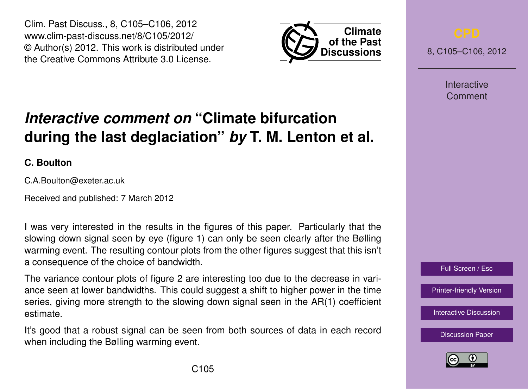Clim. Past Discuss., 8, C105–C106, 2012 www.clim-past-discuss.net/8/C105/2012/ © Author(s) 2012. This work is distributed under the Creative Commons Attribute 3.0 License.



8, C105–C106, 2012

**Interactive** Comment

## Full Screen / Esc

[Printer-friendly Version](http://www.clim-past-discuss.net/8/C105/2012/cpd-8-C105-2012-print.pdf)

[Interactive Discussion](http://www.clim-past-discuss.net/8/321/2012/cpd-8-321-2012-discussion.html)

[Discussion Paper](http://www.clim-past-discuss.net/8/321/2012/cpd-8-321-2012.pdf)



## *Interactive comment on* **"Climate bifurcation during the last deglaciation"** *by* **T. M. Lenton et al.**

**C. Boulton**

C.A.Boulton@exeter.ac.uk

Received and published: 7 March 2012

I was very interested in the results in the figures of this paper. Particularly that the slowing down signal seen by eye (figure 1) can only be seen clearly after the Bølling warming event. The resulting contour plots from the other figures suggest that this isn't a consequence of the choice of bandwidth.

The variance contour plots of figure 2 are interesting too due to the decrease in variance seen at lower bandwidths. This could suggest a shift to higher power in the time series, giving more strength to the slowing down signal seen in the AR(1) coefficient estimate.

It's good that a robust signal can be seen from both sources of data in each record when including the Bølling warming event.